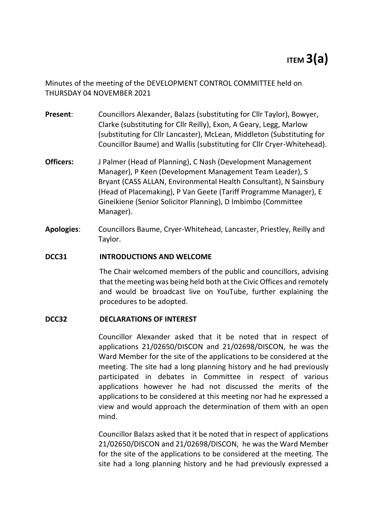# **ITEM 3(a)**

Minutes of the meeting of the DEVELOPMENT CONTROL COMMITTEE held on THURSDAY 04 NOVEMBER 2021

- **Present**: Councillors Alexander, Balazs (substituting for Cllr Taylor), Bowyer, Clarke (substituting for Cllr Reilly), Exon, A Geary, Legg, Marlow (substituting for Cllr Lancaster), McLean, Middleton (Substituting for Councillor Baume) and Wallis (substituting for Cllr Cryer-Whitehead).
- **Officers:** J Palmer (Head of Planning), C Nash (Development Management Manager), P Keen (Development Management Team Leader), S Bryant (CASS ALLAN, Environmental Health Consultant), N Sainsbury (Head of Placemaking), P Van Geete (Tariff Programme Manager), E Gineikiene (Senior Solicitor Planning), D Imbimbo (Committee Manager).
- **Apologies**: Councillors Baume, Cryer-Whitehead, Lancaster, Priestley, Reilly and Taylor.

## **DCC31 INTRODUCTIONS AND WELCOME**

The Chair welcomed members of the public and councillors, advising that the meeting was being held both at the Civic Offices and remotely and would be broadcast live on YouTube, further explaining the procedures to be adopted.

#### **DCC32 DECLARATIONS OF INTEREST**

Councillor Alexander asked that it be noted that in respect of applications 21/02650/DISCON and 21/02698/DISCON, he was the Ward Member for the site of the applications to be considered at the meeting. The site had a long planning history and he had previously participated in debates in Committee in respect of various applications however he had not discussed the merits of the applications to be considered at this meeting nor had he expressed a view and would approach the determination of them with an open mind.

Councillor Balazs asked that it be noted that in respect of applications 21/02650/DISCON and 21/02698/DISCON, he was the Ward Member for the site of the applications to be considered at the meeting. The site had a long planning history and he had previously expressed a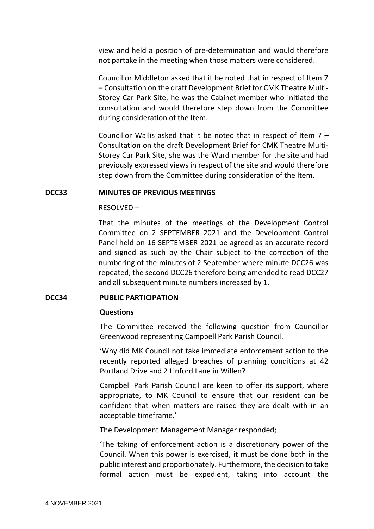view and held a position of pre-determination and would therefore not partake in the meeting when those matters were considered.

Councillor Middleton asked that it be noted that in respect of Item 7 – Consultation on the draft Development Brief for CMK Theatre Multi-Storey Car Park Site, he was the Cabinet member who initiated the consultation and would therefore step down from the Committee during consideration of the Item.

Councillor Wallis asked that it be noted that in respect of Item 7 – Consultation on the draft Development Brief for CMK Theatre Multi-Storey Car Park Site, she was the Ward member for the site and had previously expressed views in respect of the site and would therefore step down from the Committee during consideration of the Item.

## **DCC33 MINUTES OF PREVIOUS MEETINGS**

## RESOLVED –

That the minutes of the meetings of the Development Control Committee on 2 SEPTEMBER 2021 and the Development Control Panel held on 16 SEPTEMBER 2021 be agreed as an accurate record and signed as such by the Chair subject to the correction of the numbering of the minutes of 2 September where minute DCC26 was repeated, the second DCC26 therefore being amended to read DCC27 and all subsequent minute numbers increased by 1.

## **DCC34 PUBLIC PARTICIPATION**

#### **Questions**

The Committee received the following question from Councillor Greenwood representing Campbell Park Parish Council.

'Why did MK Council not take immediate enforcement action to the recently reported alleged breaches of planning conditions at 42 Portland Drive and 2 Linford Lane in Willen?

Campbell Park Parish Council are keen to offer its support, where appropriate, to MK Council to ensure that our resident can be confident that when matters are raised they are dealt with in an acceptable timeframe.'

The Development Management Manager responded;

'The taking of enforcement action is a discretionary power of the Council. When this power is exercised, it must be done both in the public interest and proportionately. Furthermore, the decision to take formal action must be expedient, taking into account the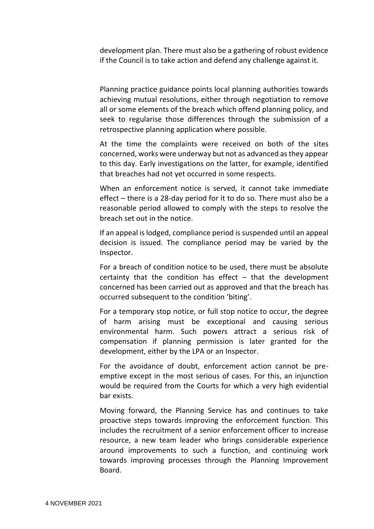development plan. There must also be a gathering of robust evidence if the Council is to take action and defend any challenge against it.

Planning practice guidance points local planning authorities towards achieving mutual resolutions, either through negotiation to remove all or some elements of the breach which offend planning policy, and seek to regularise those differences through the submission of a retrospective planning application where possible.

At the time the complaints were received on both of the sites concerned, works were underway but not as advanced as they appear to this day. Early investigations on the latter, for example, identified that breaches had not yet occurred in some respects.

When an enforcement notice is served, it cannot take immediate effect – there is a 28-day period for it to do so. There must also be a reasonable period allowed to comply with the steps to resolve the breach set out in the notice.

If an appeal is lodged, compliance period is suspended until an appeal decision is issued. The compliance period may be varied by the Inspector.

For a breach of condition notice to be used, there must be absolute certainty that the condition has effect  $-$  that the development concerned has been carried out as approved and that the breach has occurred subsequent to the condition 'biting'.

For a temporary stop notice, or full stop notice to occur, the degree of harm arising must be exceptional and causing serious environmental harm. Such powers attract a serious risk of compensation if planning permission is later granted for the development, either by the LPA or an Inspector.

For the avoidance of doubt, enforcement action cannot be preemptive except in the most serious of cases. For this, an injunction would be required from the Courts for which a very high evidential bar exists.

Moving forward, the Planning Service has and continues to take proactive steps towards improving the enforcement function. This includes the recruitment of a senior enforcement officer to increase resource, a new team leader who brings considerable experience around improvements to such a function, and continuing work towards improving processes through the Planning Improvement Board.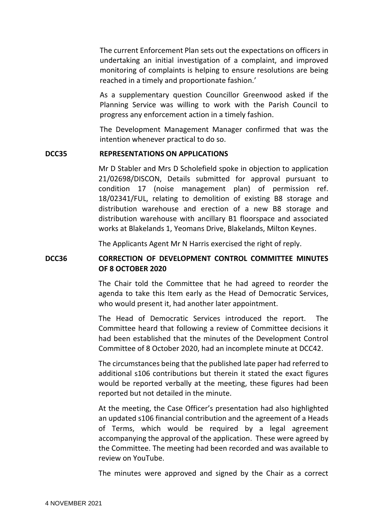The current Enforcement Plan sets out the expectations on officers in undertaking an initial investigation of a complaint, and improved monitoring of complaints is helping to ensure resolutions are being reached in a timely and proportionate fashion.'

As a supplementary question Councillor Greenwood asked if the Planning Service was willing to work with the Parish Council to progress any enforcement action in a timely fashion.

The Development Management Manager confirmed that was the intention whenever practical to do so.

#### **DCC35 REPRESENTATIONS ON APPLICATIONS**

Mr D Stabler and Mrs D Scholefield spoke in objection to application 21/02698/DISCON, Details submitted for approval pursuant to condition 17 (noise management plan) of permission ref. 18/02341/FUL, relating to demolition of existing B8 storage and distribution warehouse and erection of a new B8 storage and distribution warehouse with ancillary B1 floorspace and associated works at Blakelands 1, Yeomans Drive, Blakelands, Milton Keynes.

The Applicants Agent Mr N Harris exercised the right of reply.

## **DCC36 CORRECTION OF DEVELOPMENT CONTROL COMMITTEE MINUTES OF 8 OCTOBER 2020**

The Chair told the Committee that he had agreed to reorder the agenda to take this Item early as the Head of Democratic Services, who would present it, had another later appointment.

The Head of Democratic Services introduced the report. The Committee heard that following a review of Committee decisions it had been established that the minutes of the Development Control Committee of 8 October 2020, had an incomplete minute at DCC42.

The circumstances being that the published late paper had referred to additional s106 contributions but therein it stated the exact figures would be reported verbally at the meeting, these figures had been reported but not detailed in the minute.

At the meeting, the Case Officer's presentation had also highlighted an updated s106 financial contribution and the agreement of a Heads of Terms, which would be required by a legal agreement accompanying the approval of the application. These were agreed by the Committee. The meeting had been recorded and was available to review on YouTube.

The minutes were approved and signed by the Chair as a correct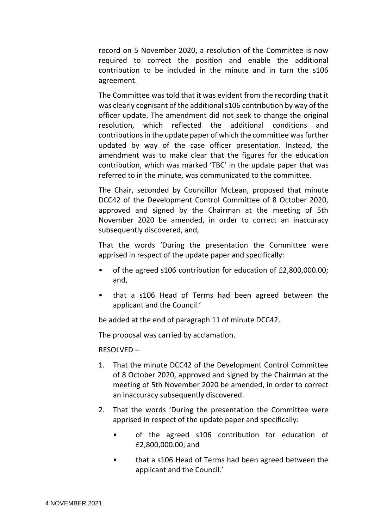record on 5 November 2020, a resolution of the Committee is now required to correct the position and enable the additional contribution to be included in the minute and in turn the s106 agreement.

The Committee was told that it was evident from the recording that it was clearly cognisant of the additional s106 contribution by way of the officer update. The amendment did not seek to change the original resolution, which reflected the additional conditions contributions in the update paper of which the committee was further updated by way of the case officer presentation. Instead, the amendment was to make clear that the figures for the education contribution, which was marked 'TBC' in the update paper that was referred to in the minute, was communicated to the committee.

The Chair, seconded by Councillor McLean, proposed that minute DCC42 of the Development Control Committee of 8 October 2020, approved and signed by the Chairman at the meeting of 5th November 2020 be amended, in order to correct an inaccuracy subsequently discovered, and,

That the words 'During the presentation the Committee were apprised in respect of the update paper and specifically:

- of the agreed s106 contribution for education of £2,800,000.00; and,
- that a s106 Head of Terms had been agreed between the applicant and the Council.'

be added at the end of paragraph 11 of minute DCC42.

The proposal was carried by acclamation.

RESOLVED –

- 1. That the minute DCC42 of the Development Control Committee of 8 October 2020, approved and signed by the Chairman at the meeting of 5th November 2020 be amended, in order to correct an inaccuracy subsequently discovered.
- 2. That the words 'During the presentation the Committee were apprised in respect of the update paper and specifically:
	- of the agreed s106 contribution for education of £2,800,000.00; and
	- that a s106 Head of Terms had been agreed between the applicant and the Council.'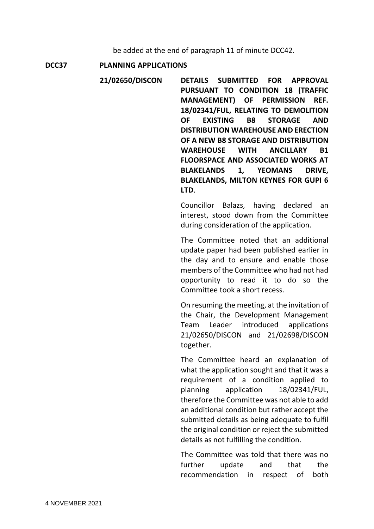be added at the end of paragraph 11 of minute DCC42.

**DCC37 PLANNING APPLICATIONS**

**21/02650/DISCON DETAILS SUBMITTED FOR APPROVAL PURSUANT TO CONDITION 18 (TRAFFIC MANAGEMENT) OF PERMISSION REF. 18/02341/FUL, RELATING TO DEMOLITION OF EXISTING B8 STORAGE AND DISTRIBUTION WAREHOUSE AND ERECTION OF A NEW B8 STORAGE AND DISTRIBUTION WAREHOUSE WITH ANCILLARY B1 FLOORSPACE AND ASSOCIATED WORKS AT BLAKELANDS 1, YEOMANS DRIVE, BLAKELANDS, MILTON KEYNES FOR GUPI 6 LTD**.

> Councillor Balazs, having declared an interest, stood down from the Committee during consideration of the application.

> The Committee noted that an additional update paper had been published earlier in the day and to ensure and enable those members of the Committee who had not had opportunity to read it to do so the Committee took a short recess.

> On resuming the meeting, at the invitation of the Chair, the Development Management Team Leader introduced applications 21/02650/DISCON and 21/02698/DISCON together.

> The Committee heard an explanation of what the application sought and that it was a requirement of a condition applied to planning application 18/02341/FUL, therefore the Committee was not able to add an additional condition but rather accept the submitted details as being adequate to fulfil the original condition or reject the submitted details as not fulfilling the condition.

> The Committee was told that there was no further update and that the recommendation in respect of both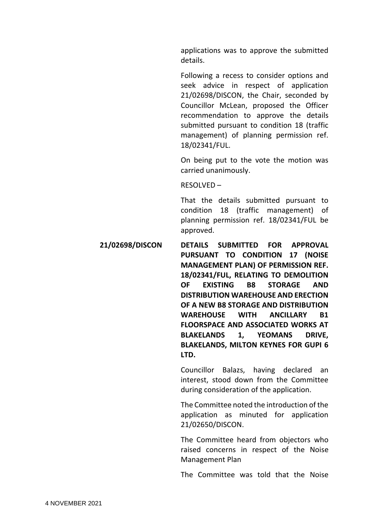applications was to approve the submitted details.

Following a recess to consider options and seek advice in respect of application 21/02698/DISCON, the Chair, seconded by Councillor McLean, proposed the Officer recommendation to approve the details submitted pursuant to condition 18 (traffic management) of planning permission ref. 18/02341/FUL.

On being put to the vote the motion was carried unanimously.

RESOLVED –

That the details submitted pursuant to condition 18 (traffic management) of planning permission ref. 18/02341/FUL be approved.

**21/02698/DISCON DETAILS SUBMITTED FOR APPROVAL PURSUANT TO CONDITION 17 (NOISE MANAGEMENT PLAN) OF PERMISSION REF. 18/02341/FUL, RELATING TO DEMOLITION OF EXISTING B8 STORAGE AND DISTRIBUTION WAREHOUSE AND ERECTION OF A NEW B8 STORAGE AND DISTRIBUTION WAREHOUSE WITH ANCILLARY B1 FLOORSPACE AND ASSOCIATED WORKS AT BLAKELANDS 1, YEOMANS DRIVE, BLAKELANDS, MILTON KEYNES FOR GUPI 6 LTD.**

> Councillor Balazs, having declared an interest, stood down from the Committee during consideration of the application.

> The Committee noted the introduction of the application as minuted for application 21/02650/DISCON.

> The Committee heard from objectors who raised concerns in respect of the Noise Management Plan

> The Committee was told that the Noise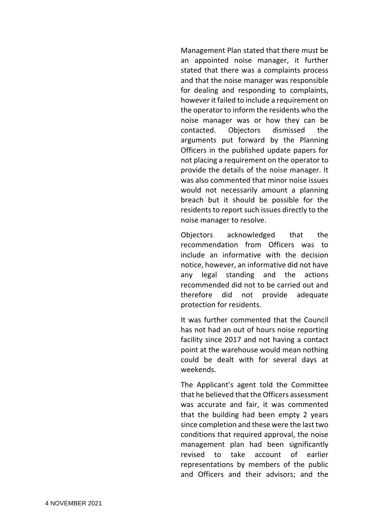Management Plan stated that there must be an appointed noise manager, it further stated that there was a complaints process and that the noise manager was responsible for dealing and responding to complaints, however it failed to include a requirement on the operator to inform the residents who the noise manager was or how they can be contacted. Objectors dismissed the arguments put forward by the Planning Officers in the published update papers for not placing a requirement on the operator to provide the details of the noise manager. It was also commented that minor noise issues would not necessarily amount a planning breach but it should be possible for the residents to report such issues directly to the noise manager to resolve.

Objectors acknowledged that the recommendation from Officers was to include an informative with the decision notice, however, an informative did not have any legal standing and the actions recommended did not to be carried out and therefore did not provide adequate protection for residents.

It was further commented that the Council has not had an out of hours noise reporting facility since 2017 and not having a contact point at the warehouse would mean nothing could be dealt with for several days at weekends.

The Applicant's agent told the Committee that he believed that the Officers assessment was accurate and fair, it was commented that the building had been empty 2 years since completion and these were the last two conditions that required approval, the noise management plan had been significantly revised to take account of earlier representations by members of the public and Officers and their advisors; and the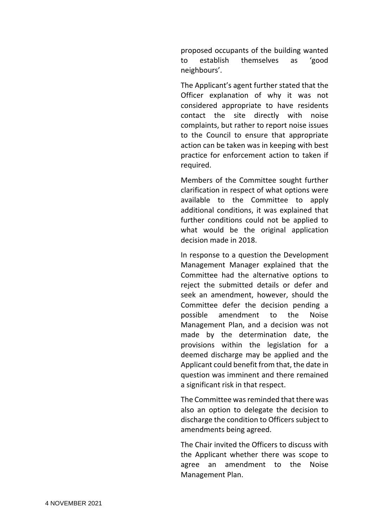proposed occupants of the building wanted to establish themselves as 'good neighbours'.

The Applicant's agent further stated that the Officer explanation of why it was not considered appropriate to have residents contact the site directly with noise complaints, but rather to report noise issues to the Council to ensure that appropriate action can be taken was in keeping with best practice for enforcement action to taken if required.

Members of the Committee sought further clarification in respect of what options were available to the Committee to apply additional conditions, it was explained that further conditions could not be applied to what would be the original application decision made in 2018.

In response to a question the Development Management Manager explained that the Committee had the alternative options to reject the submitted details or defer and seek an amendment, however, should the Committee defer the decision pending a possible amendment to the Noise Management Plan, and a decision was not made by the determination date, the provisions within the legislation for a deemed discharge may be applied and the Applicant could benefit from that, the date in question was imminent and there remained a significant risk in that respect.

The Committee was reminded that there was also an option to delegate the decision to discharge the condition to Officers subject to amendments being agreed.

The Chair invited the Officers to discuss with the Applicant whether there was scope to agree an amendment to the Noise Management Plan.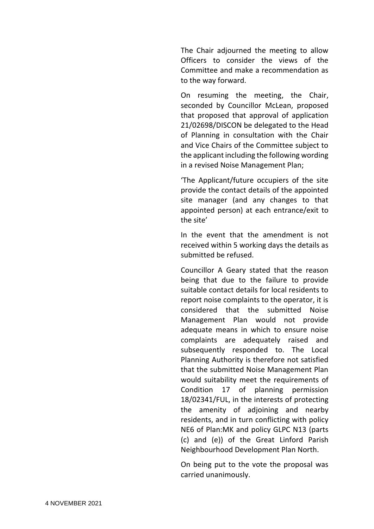The Chair adjourned the meeting to allow Officers to consider the views of the Committee and make a recommendation as to the way forward.

On resuming the meeting, the Chair, seconded by Councillor McLean, proposed that proposed that approval of application 21/02698/DISCON be delegated to the Head of Planning in consultation with the Chair and Vice Chairs of the Committee subject to the applicant including the following wording in a revised Noise Management Plan;

'The Applicant/future occupiers of the site provide the contact details of the appointed site manager (and any changes to that appointed person) at each entrance/exit to the site'

In the event that the amendment is not received within 5 working days the details as submitted be refused.

Councillor A Geary stated that the reason being that due to the failure to provide suitable contact details for local residents to report noise complaints to the operator, it is considered that the submitted Noise Management Plan would not provide adequate means in which to ensure noise complaints are adequately raised and subsequently responded to. The Local Planning Authority is therefore not satisfied that the submitted Noise Management Plan would suitability meet the requirements of Condition 17 of planning permission 18/02341/FUL, in the interests of protecting the amenity of adjoining and nearby residents, and in turn conflicting with policy NE6 of Plan:MK and policy GLPC N13 (parts (c) and (e)) of the Great Linford Parish Neighbourhood Development Plan North.

On being put to the vote the proposal was carried unanimously.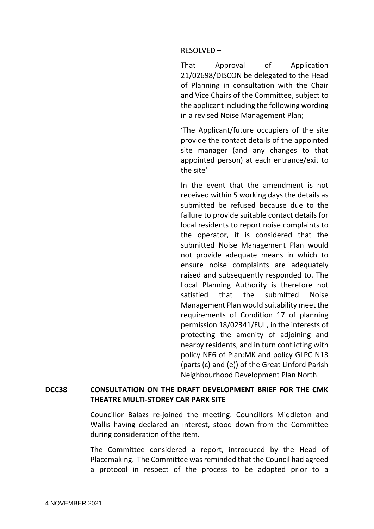#### RESOLVED –

That Approval of Application 21/02698/DISCON be delegated to the Head of Planning in consultation with the Chair and Vice Chairs of the Committee, subject to the applicant including the following wording in a revised Noise Management Plan;

'The Applicant/future occupiers of the site provide the contact details of the appointed site manager (and any changes to that appointed person) at each entrance/exit to the site'

In the event that the amendment is not received within 5 working days the details as submitted be refused because due to the failure to provide suitable contact details for local residents to report noise complaints to the operator, it is considered that the submitted Noise Management Plan would not provide adequate means in which to ensure noise complaints are adequately raised and subsequently responded to. The Local Planning Authority is therefore not satisfied that the submitted Noise Management Plan would suitability meet the requirements of Condition 17 of planning permission 18/02341/FUL, in the interests of protecting the amenity of adjoining and nearby residents, and in turn conflicting with policy NE6 of Plan:MK and policy GLPC N13 (parts (c) and (e)) of the Great Linford Parish Neighbourhood Development Plan North.

# **DCC38 CONSULTATION ON THE DRAFT DEVELOPMENT BRIEF FOR THE CMK THEATRE MULTI-STOREY CAR PARK SITE**

Councillor Balazs re-joined the meeting. Councillors Middleton and Wallis having declared an interest, stood down from the Committee during consideration of the item.

The Committee considered a report, introduced by the Head of Placemaking. The Committee was reminded that the Council had agreed a protocol in respect of the process to be adopted prior to a